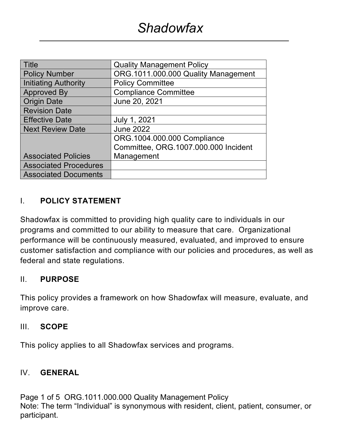| Title                        | <b>Quality Management Policy</b>     |  |  |
|------------------------------|--------------------------------------|--|--|
| <b>Policy Number</b>         | ORG.1011.000.000 Quality Management  |  |  |
| Initiating Authority         | <b>Policy Committee</b>              |  |  |
| <b>Approved By</b>           | <b>Compliance Committee</b>          |  |  |
| <b>Origin Date</b>           | June 20, 2021                        |  |  |
| <b>Revision Date</b>         |                                      |  |  |
| <b>Effective Date</b>        | July 1, 2021                         |  |  |
| <b>Next Review Date</b>      | <b>June 2022</b>                     |  |  |
|                              | ORG.1004.000.000 Compliance          |  |  |
|                              | Committee, ORG.1007.000.000 Incident |  |  |
| <b>Associated Policies</b>   | Management                           |  |  |
| <b>Associated Procedures</b> |                                      |  |  |
| <b>Associated Documents</b>  |                                      |  |  |

### I. **POLICY STATEMENT**

Shadowfax is committed to providing high quality care to individuals in our programs and committed to our ability to measure that care. Organizational performance will be continuously measured, evaluated, and improved to ensure customer satisfaction and compliance with our policies and procedures, as well as federal and state regulations.

#### II. **PURPOSE**

This policy provides a framework on how Shadowfax will measure, evaluate, and improve care.

#### III. **SCOPE**

This policy applies to all Shadowfax services and programs.

#### IV. **GENERAL**

Page 1 of 5 ORG.1011.000.000 Quality Management Policy Note: The term "Individual" is synonymous with resident, client, patient, consumer, or participant.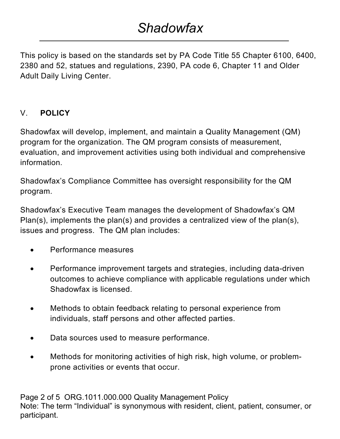# *Shadowfax*

This policy is based on the standards set by PA Code Title 55 Chapter 6100, 6400, 2380 and 52, statues and regulations, 2390, PA code 6, Chapter 11 and Older Adult Daily Living Center.

## V. **POLICY**

Shadowfax will develop, implement, and maintain a Quality Management (QM) program for the organization. The QM program consists of measurement, evaluation, and improvement activities using both individual and comprehensive information.

Shadowfax's Compliance Committee has oversight responsibility for the QM program.

Shadowfax's Executive Team manages the development of Shadowfax's QM Plan(s), implements the plan(s) and provides a centralized view of the plan(s), issues and progress. The QM plan includes:

- Performance measures
- Performance improvement targets and strategies, including data-driven outcomes to achieve compliance with applicable regulations under which Shadowfax is licensed.
- Methods to obtain feedback relating to personal experience from individuals, staff persons and other affected parties.
- Data sources used to measure performance.
- Methods for monitoring activities of high risk, high volume, or problemprone activities or events that occur.

Page 2 of 5 ORG.1011.000.000 Quality Management Policy Note: The term "Individual" is synonymous with resident, client, patient, consumer, or participant.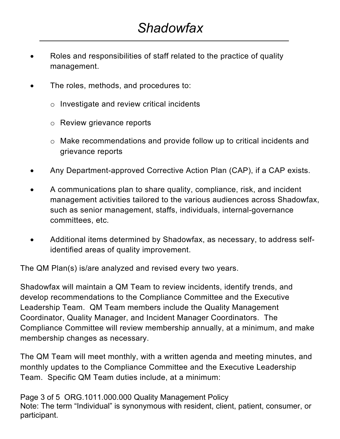- Roles and responsibilities of staff related to the practice of quality management.
- The roles, methods, and procedures to:
	- o Investigate and review critical incidents
	- o Review grievance reports
	- o Make recommendations and provide follow up to critical incidents and grievance reports
- Any Department-approved Corrective Action Plan (CAP), if a CAP exists.
- A communications plan to share quality, compliance, risk, and incident management activities tailored to the various audiences across Shadowfax, such as senior management, staffs, individuals, internal-governance committees, etc.
- Additional items determined by Shadowfax, as necessary, to address selfidentified areas of quality improvement.

The QM Plan(s) is/are analyzed and revised every two years.

Shadowfax will maintain a QM Team to review incidents, identify trends, and develop recommendations to the Compliance Committee and the Executive Leadership Team. QM Team members include the Quality Management Coordinator, Quality Manager, and Incident Manager Coordinators. The Compliance Committee will review membership annually, at a minimum, and make membership changes as necessary.

The QM Team will meet monthly, with a written agenda and meeting minutes, and monthly updates to the Compliance Committee and the Executive Leadership Team. Specific QM Team duties include, at a minimum:

Page 3 of 5 ORG.1011.000.000 Quality Management Policy Note: The term "Individual" is synonymous with resident, client, patient, consumer, or participant.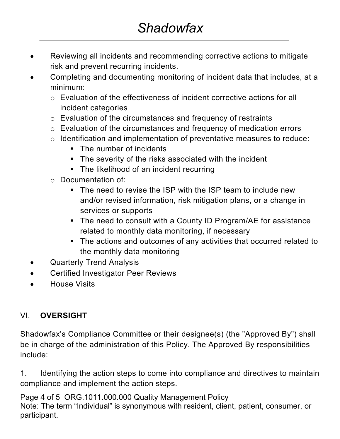- Reviewing all incidents and recommending corrective actions to mitigate risk and prevent recurring incidents.
- Completing and documenting monitoring of incident data that includes, at a minimum:
	- o Evaluation of the effectiveness of incident corrective actions for all incident categories
	- o Evaluation of the circumstances and frequency of restraints
	- o Evaluation of the circumstances and frequency of medication errors
	- o Identification and implementation of preventative measures to reduce:
		- The number of incidents
		- The severity of the risks associated with the incident
		- The likelihood of an incident recurring
	- o Documentation of:
		- The need to revise the ISP with the ISP team to include new and/or revised information, risk mitigation plans, or a change in services or supports
		- The need to consult with a County ID Program/AE for assistance related to monthly data monitoring, if necessary
		- § The actions and outcomes of any activities that occurred related to the monthly data monitoring
- Quarterly Trend Analysis
- Certified Investigator Peer Reviews
- House Visits

## VI. **OVERSIGHT**

Shadowfax's Compliance Committee or their designee(s) (the "Approved By") shall be in charge of the administration of this Policy. The Approved By responsibilities include:

1. Identifying the action steps to come into compliance and directives to maintain compliance and implement the action steps.

Page 4 of 5 ORG.1011.000.000 Quality Management Policy Note: The term "Individual" is synonymous with resident, client, patient, consumer, or participant.